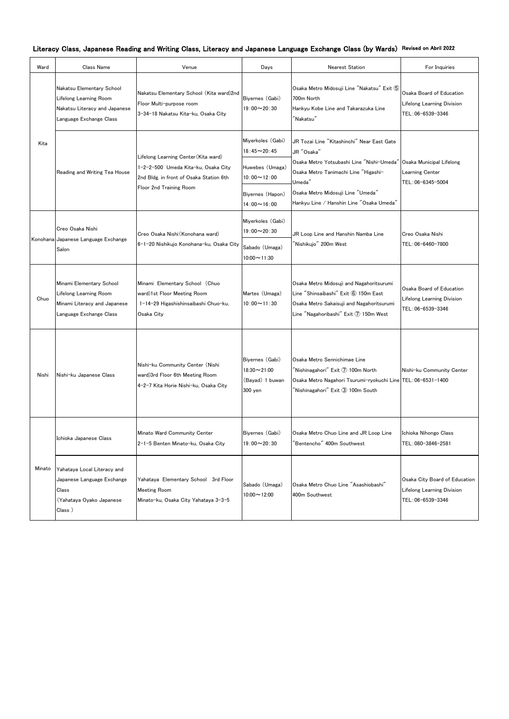| Ward   | Class Name                                                                                                             | Venue                                                                                                                  | Days                                                                          | Nearest Station                                                                                                                                                                                                                                       | For Inquiries                                                                           |
|--------|------------------------------------------------------------------------------------------------------------------------|------------------------------------------------------------------------------------------------------------------------|-------------------------------------------------------------------------------|-------------------------------------------------------------------------------------------------------------------------------------------------------------------------------------------------------------------------------------------------------|-----------------------------------------------------------------------------------------|
| Kita   | Nakatsu Elementary School<br><b>Lifelong Learning Room</b><br>Nakatsu Literacy and Japanese<br>Language Exchange Class | Nakatsu Elementary School (Kita ward)2nd<br>Floor Multi-purpose room<br>3-34-18 Nakatsu Kita-ku, Osaka City            | Biyernes (Gabi)<br>$19:00 \sim 20:30$                                         | Osaka Metro Midosuji Line "Nakatsu" Exit 5<br>700m North<br>Hankyu Kobe Line and Takarazuka Line<br>$\lq$ Nakatsu $\lq$                                                                                                                               | Osaka Board of Education<br><b>Lifelong Learning Division</b><br>TEL: 06-6539-3346      |
|        | Reading and Writing Tea House                                                                                          | Lifelong Learning Center (Kita ward)<br>1-2-2-500 Umeda Kita-ku, Osaka City<br>2nd Bldg. in front of Osaka Station 6th | Miyerkoles (Gabi)<br>$18:45 - 20:45$<br>Huwebes (Umaga)<br>$10:00 \sim 12:00$ | JR Tozai Line "Kitashinchi" Near East Gate<br>JR "Osaka"<br>Osaka Metro Yotsubashi Line "Nishi-Umeda"<br>Osaka Metro Tanimachi Line "Higashi-<br>Umeda"                                                                                               | Osaka Municipal Lifelong<br>Learning Center<br>TEL: 06-6345-5004                        |
|        |                                                                                                                        | Floor 2nd Training Room                                                                                                | Biyernes (Hapon)<br>$14:00 \sim 16:00$                                        | Osaka Metro Midosuji Line "Umeda"<br>Hankyu Line / Hanshin Line "Osaka Umeda"                                                                                                                                                                         |                                                                                         |
|        | Creo Osaka Nishi                                                                                                       | Creo Osaka Nishi (Konohana ward)<br>6-1-20 Nishikujo Konohana-ku, Osaka City                                           | Miyerkoles (Gabi)<br>$19:00 \sim 20:30$                                       | JR Loop Line and Hanshin Namba Line                                                                                                                                                                                                                   | Creo Osaka Nishi                                                                        |
|        | Konohana Japanese Language Exchange<br>Salon                                                                           |                                                                                                                        | Sabado (Umaga)<br>$10:00 \sim 11:30$                                          | "Nishikujo" 200m West                                                                                                                                                                                                                                 | TEL:06-6460-7800                                                                        |
| Chuo   | Minami Elementary School<br>Lifelong Learning Room<br>Minami Literacy and Japanese<br>Language Exchange Class          | Minami Elementary School (Chuo<br>ward)1st Floor Meeting Room<br>1-14-29 Higashishinsaibashi Chuo-ku,<br>Osaka City    | Martes (Umaga)<br>$10:00 \sim 11:30$                                          | Osaka Metro Midosuji and Nagahoritsurumi<br>Line "Shinsaibashi" Exit 6 150m East<br>Osaka Metro Sakaisuji and Nagahoritsurumi<br>Line "Nagahoribashi" Exit 7 150m West                                                                                | Osaka Board of Education<br><b>Lifelong Learning Division</b><br>TEL: 06-6539-3346      |
| Nishi  | Nishi-ku Japanese Class                                                                                                | Nishi-ku Community Center (Nishi<br>ward)3rd Floor 6th Meeting Room<br>4-2-7 Kita Horie Nishi-ku, Osaka City           | Biyernes (Gabi)<br>18:30~21:00<br>(Bayad) 1 buwan<br>300 yen                  | Osaka Metro Sennichimae Line<br>$\mathrm{``Nishinagahori''}$ Exit $\mathrm{\mathcal{\overline{Q}}}$ 100m North<br>Osaka Metro Nagahori Tsurumi-ryokuchi Line TEL: 06-6531-1400<br>$\mathrm{``Nishinagahori''}$ Exit $\mathrm{\circled{3}}$ 100m South | Nishi-ku Community Center                                                               |
|        | Ichioka Japanese Class                                                                                                 | Minato Ward Community Center<br>2-1-5 Benten Minato-ku, Osaka City                                                     | Biyernes (Gabi)<br>$19:00 \sim 20:30$                                         | Osaka Metro Chuo Line and JR Loop Line<br>'Bentencho" 400m Southwest                                                                                                                                                                                  | Ichioka Nihongo Class<br>TEL: 080-3846-2581                                             |
| Minato | Yahataya Local Literacy and<br>Japanese Language Exchange<br>Class<br>(Yahataya Oyako Japanese<br>Class)               | Yahataya Elementary School 3rd Floor<br><b>Meeting Room</b><br>Minato-ku, Osaka City Yahataya 3-3-5                    | Sabado (Umaga)<br>$10:00 \sim 12:00$                                          | Osaka Metro Chuo Line "Asashiobashi"<br>400m Southwest                                                                                                                                                                                                | Osaka City Board of Education<br><b>Lifelong Learning Division</b><br>TEL: 06-6539-3346 |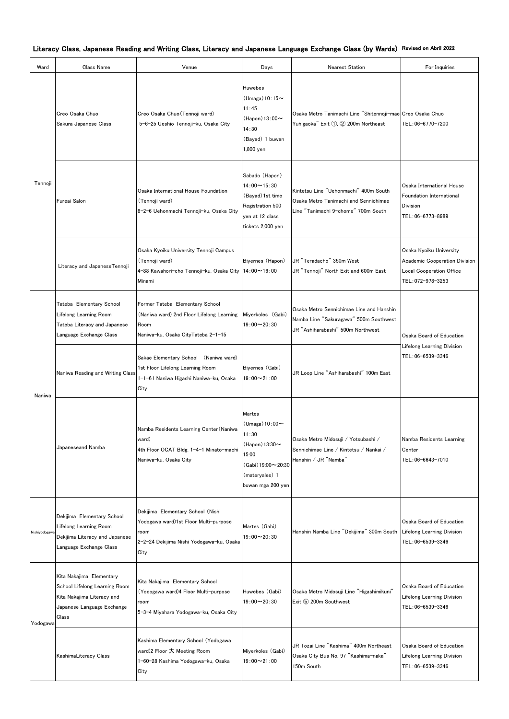| Ward          | Class Name                                                                                                                     | Venue                                                                                                                                  | Days                                                                                                                           | <b>Nearest Station</b>                                                                                                  | For Inquiries                                                                                             |  |
|---------------|--------------------------------------------------------------------------------------------------------------------------------|----------------------------------------------------------------------------------------------------------------------------------------|--------------------------------------------------------------------------------------------------------------------------------|-------------------------------------------------------------------------------------------------------------------------|-----------------------------------------------------------------------------------------------------------|--|
| Tennoji       | Creo Osaka Chuo<br>Sakura Japanese Class                                                                                       | Creo Osaka Chuo (Tennoji ward)<br>5-6-25 Ueshio Tennoji-ku, Osaka City                                                                 | Huwebes<br>$(Umaga)10:15 \sim$<br>11:45<br>$(Hapon)$ 13:00 $\sim$<br>14:30<br>(Bayad) 1 buwan<br>1,800 yen                     | Osaka Metro Tanimachi Line "Shitennoji-mae Creo Osaka Chuo<br>Yuhigaoka" Exit 1, 2 200m Northeast                       | TEL: 06-6770-7200                                                                                         |  |
|               | Fureai Salon                                                                                                                   | Osaka International House Foundation<br>(Tennoji ward)<br>8-2-6 Uehonmachi Tennoji-ku, Osaka City                                      | Sabado (Hapon)<br>$14:00 \sim 15:30$<br>(Bayad) 1st time<br>Registration 500<br>yen at 12 class<br>tickets 2,000 yen           | Kintetsu Line "Uehonmachi" 400m South<br>Osaka Metro Tanimachi and Sennichimae<br>Line "Tanimachi 9-chome" 700m South   | Osaka International House<br>Foundation International<br><b>Division</b><br>TEL:06-6773-8989              |  |
|               | Literacy and JapaneseTennoji                                                                                                   | Osaka Kyoiku University Tennoji Campus<br>(Tennoji ward)<br>4-88 Kawahori-cho Tennoji-ku, Osaka City   14:00~16:00<br>Minami           | Biyernes (Hapon)                                                                                                               | JR "Teradacho" 350m West<br>JR "Tennoji" North Exit and 600m East                                                       | Osaka Kyoiku University<br>Academic Cooperation Division<br>Local Cooperation Office<br>TEL: 072-978-3253 |  |
| Naniwa        | Tateba Elementary School<br>Lifelong Learning Room<br>Tateba Literacy and Japanese<br>Language Exchange Class                  | Former Tateba Elementary School<br>(Naniwa ward) 2nd Floor Lifelong Learning<br>Room<br>Naniwa-ku, Osaka CityTateba 2-1-15             | Miyerkoles (Gabi)<br>$19:00 \sim 20:30$                                                                                        | Osaka Metro Sennichimae Line and Hanshin<br>Namba Line "Sakuragawa" 500m Southwest<br>JR "Ashiharabashi" 500m Northwest | Osaka Board of Education                                                                                  |  |
|               | Naniwa Reading and Writing Class                                                                                               | Sakae Elementary School (Naniwa ward)<br>1st Floor Lifelong Learning Room<br>I-1-61 Naniwa Higashi Naniwa-ku, Osaka<br>City            | Biyernes (Gabi)<br>$19:00 \sim 21:00$                                                                                          | JR Loop Line "Ashiharabashi" 100m East                                                                                  | <b>Lifelong Learning Division</b><br>TEL: 06-6539-3346                                                    |  |
|               | Japaneseand Namba                                                                                                              | Namba Residents Learning Center (Naniwa<br>ward)<br>4th Floor OCAT Bldg. 1-4-1 Minato-machi<br>Naniwa-ku, Osaka City                   | Martes<br>$(Umaga)10:00 \sim$<br>11:30<br>(Hapon) 13:30~<br>15:00<br>(Gabi) 19:00~20:30<br>(materyales) 1<br>buwan mga 200 yen | Osaka Metro Midosuji / Yotsubashi /<br>Sennichimae Line / Kintetsu / Nankai /<br>Hanshin / JR "Namba"                   | Namba Residents Learning<br>Center<br>TEL: 06-6643-7010                                                   |  |
| Nishiyodogawa | Dekijima Elementary School<br>Lifelong Learning Room<br>Dekijima Literacy and Japanese<br>Language Exchange Class              | Dekijima Elementary School (Nishi<br>Yodogawa ward)1st Floor Multi-purpose<br>room<br>2-2-24 Dekijima Nishi Yodogawa-ku, Osaka<br>City | Martes (Gabi)<br>$19:00 \sim 20:30$                                                                                            | Hanshin Namba Line "Dekijima" 300m South Lifelong Learning Division                                                     | Osaka Board of Education<br>TEL: 06-6539-3346                                                             |  |
| Yodogawa      | Kita Nakajima Elementary<br>School Lifelong Learning Room<br>Kita Nakajima Literacy and<br>Japanese Language Exchange<br>Class | Kita Nakajima Elementary School<br>(Yodogawa ward)4 Floor Multi-purpose<br>room<br>5-3-4 Miyahara Yodogawa-ku, Osaka City              | Huwebes (Gabi)<br>$19:00 \sim 20:30$                                                                                           | Osaka Metro Midosuji Line "Higashimikuni"<br>Exit 5 200m Southwest                                                      | Osaka Board of Education<br>Lifelong Learning Division<br>TEL: 06-6539-3346                               |  |
|               | KashimaLiteracy Class                                                                                                          | Kashima Elementary School (Yodogawa<br>ward)2 Floor 大 Meeting Room<br>1-60-28 Kashima Yodogawa-ku, Osaka<br>City                       | Miyerkoles (Gabi)<br>$19:00 \sim 21:00$                                                                                        | JR Tozai Line "Kashima" 400m Northeast<br>Osaka City Bus No. 97 "Kashima-naka"<br>150m South                            | Osaka Board of Education<br>Lifelong Learning Division<br>TEL: 06-6539-3346                               |  |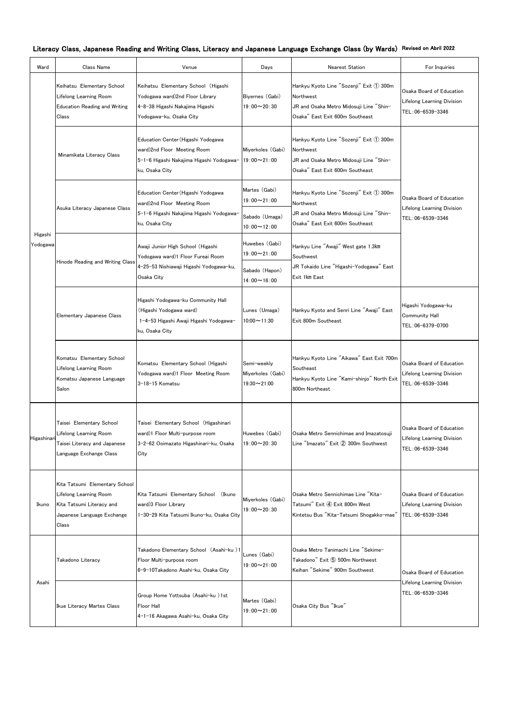|  |  |  |  |  |  |  |  |  |  | Literacy Class, Japanese Reading and Writing Class, Literacy and Japanese Language Exchange Class (by Wards) Revised on Abril 2022 |
|--|--|--|--|--|--|--|--|--|--|------------------------------------------------------------------------------------------------------------------------------------|
|--|--|--|--|--|--|--|--|--|--|------------------------------------------------------------------------------------------------------------------------------------|

| Ward                | Class Name                                                                                                                   | Venue                                                                                                                                | Days                                                       | <b>Nearest Station</b>                                                                                                             | For Inquiries                                                                     |
|---------------------|------------------------------------------------------------------------------------------------------------------------------|--------------------------------------------------------------------------------------------------------------------------------------|------------------------------------------------------------|------------------------------------------------------------------------------------------------------------------------------------|-----------------------------------------------------------------------------------|
|                     | Keihatsu Elementary School<br>Lifelong Learning Room<br><b>Education Reading and Writing</b><br>Class                        | Keihatsu Elementary School (Higashi<br>Yodogawa ward)2nd Floor Library<br>4-8-38 Higashi Nakajima Higashi<br>Yodogawa-ku, Osaka City | Biyernes (Gabi)<br>$19:00 \sim 20:30$                      | Hankyu Kyoto Line "Sozenji" Exit 1 300m<br>Northwest<br>JR and Osaka Metro Midosuji Line "Shin-<br>Osaka" East Exit 600m Southeast | Osaka Board of Education<br>Lifelong Learning Division<br>TEL:06-6539-3346        |
|                     | Minamikata Literacy Class                                                                                                    | Education Center (Higashi Yodogawa<br>ward)2nd Floor Meeting Room<br>5-1-6 Higashi Nakajima Higashi Yodogawa-<br>ku, Osaka City      | Miyerkoles (Gabi)<br>$19:00 \sim 21:00$                    | Hankyu Kyoto Line "Sozenji" Exit 1 300m<br>Northwest<br>JR and Osaka Metro Midosuji Line "Shin-<br>Osaka" East Exit 600m Southeast |                                                                                   |
|                     | Asuka Literacy Japanese Class                                                                                                | Education Center (Higashi Yodogawa<br>ward)2nd Floor Meeting Room<br>5-1-6 Higashi Nakajima Higashi Yodogawa-<br>ku, Osaka City      | Martes (Gabi)<br>$19:00 \sim 21:00$<br>Sabado (Umaga)      | Hankyu Kyoto Line "Sozenji" Exit 1 300m<br>Northwest<br>JR and Osaka Metro Midosuji Line "Shin-<br>Osaka" East Exit 600m Southeast | Osaka Board of Education<br><b>Lifelong Learning Division</b><br>TEL:06-6539-3346 |
| Higashi<br>Yodogawa | Hinode Reading and Writing Class                                                                                             | Awaji Junior High School (Higashi<br>Yodogawa ward)1 Floor Fureai Room<br>4-25-53 Nishiawaji Higashi Yodogawa-ku,                    | $10:00 \sim 12:00$<br>Huwebes (Gabi)<br>$19:00 \sim 21:00$ | Hankyu Line "Awaji" West gate 1.3km<br>Southwest<br>JR Tokaido Line "Higashi-Yodogawa" East                                        |                                                                                   |
|                     |                                                                                                                              | Osaka City                                                                                                                           | Sabado (Hapon)<br>$14:00 \sim 16:00$                       | Exit 1km East                                                                                                                      |                                                                                   |
|                     | Elementary Japanese Class                                                                                                    | Higashi Yodogawa-ku Community Hall<br>(Higashi Yodogawa ward)<br>1-4-53 Higashi Awaji Higashi Yodogawa-<br>ku, Osaka City            | Lunes (Umaga)<br>$10:00 \sim 11:30$                        | Hankyu Kyoto and Senri Line "Awaji" East<br>Exit 800m Southeast                                                                    | Higashi Yodogawa-ku<br><b>Community Hall</b><br>TEL:06-6379-0700                  |
|                     | Komatsu Elementary School<br>Lifelong Learning Room<br>Komatsu Japanese Language<br>Salon                                    | Komatsu Elementary School (Higashi<br>Yodogawa ward)1 Floor Meeting Room<br>3-18-15 Komatsu                                          | Semi-weekly<br>Miyerkoles (Gabi)<br>$19:30 - 21:00$        | Hankyu Kyoto Line "Aikawa" East Exit 700m<br>Southeast<br>Hankyu Kyoto Line "Kami-shinjo" North Exit<br>800m Northeast             | Osaka Board of Education<br>Lifelong Learning Division<br>TEL:06-6539-3346        |
| Higashinar          | Taisei Elementary School<br>Lifelong Learning Room<br>Taisei Literacy and Japanese<br>Language Exchange Class                | Taisei Elementary School (Higashinari<br>ward)1 Floor Multi-purpose room<br>3-2-62 Ooimazato Higashinari-ku, Osaka<br>City           | Huwebes (Gabi)<br>$19:00 \sim 20:30$                       | Osaka Metro Sennichimae and Imazatosuji<br>Line "Imazato" Exit 2 300m Southwest                                                    | Osaka Board of Education<br><b>Lifelong Learning Division</b><br>TEL:06-6539-3346 |
| Ikuno               | Kita Tatsumi Elementary School<br>Lifelong Learning Room<br>Kita Tatsumi Literacy and<br>Japanese Language Exchange<br>Class | Kita Tatsumi Elementary School (Ikuno<br>ward)3 Floor Library<br>1-30-29 Kita Tatsumi Ikuno-ku, Osaka City                           | Miyerkoles (Gabi)<br>$19:00 \sim 20:30$                    | Osaka Metro Sennichimae Line "Kita-<br>Tatsumi" Exit 4 Exit 800m West<br>Kintetsu Bus "Kita-Tatsumi Shogakko-mae"                  | Osaka Board of Education<br><b>Lifelong Learning Division</b><br>TEL:06-6539-3346 |
| Asahi               | Takadono Literacy                                                                                                            | Takadono Elementary School (Asahi-ku)1<br>Floor Multi-purpose room<br>6-9-10Takadono Asahi-ku, Osaka City                            | Lunes (Gabi)<br>$19:00 \sim 21:00$                         | Osaka Metro Tanimachi Line "Sekime-<br>Takadono" Exit 5 500m Northwest<br>Keihan "Sekime" 900m Southwest                           | Osaka Board of Education                                                          |
|                     | Ikue Literacy Martes Class                                                                                                   | Group Home Yottsuba (Asahi-ku)1st<br><b>Floor Hall</b><br>4-1-16 Akagawa Asahi-ku, Osaka City                                        | Martes (Gabi)<br>$19:00 \sim 21:00$                        | Osaka City Bus "Ikue"                                                                                                              | <b>Lifelong Learning Division</b><br>TEL: 06-6539-3346                            |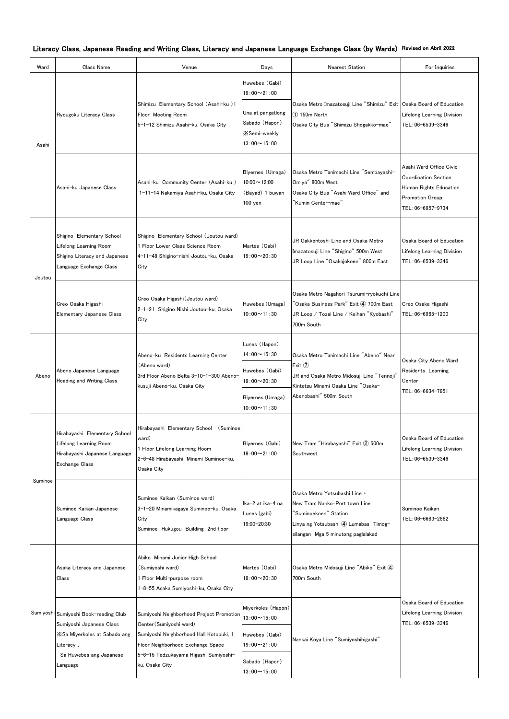| Ward    | Class Name                                                                                                        | Venue                                                                                                                                               | Days                                                                              | <b>Nearest Station</b>                                                                                                                                                              | For Inquiries                                                                                                           |
|---------|-------------------------------------------------------------------------------------------------------------------|-----------------------------------------------------------------------------------------------------------------------------------------------------|-----------------------------------------------------------------------------------|-------------------------------------------------------------------------------------------------------------------------------------------------------------------------------------|-------------------------------------------------------------------------------------------------------------------------|
|         | Ryougoku Literacy Class                                                                                           |                                                                                                                                                     | Huwebes (Gabi)<br>$19:00 \sim 21:00$                                              |                                                                                                                                                                                     |                                                                                                                         |
| Asahi   |                                                                                                                   | Shimizu Elementary School (Asahi-ku)1<br>Floor Meeting Room<br>5-1-12 Shimizu Asahi-ku, Osaka City                                                  | Una at pangationg<br>Sabado (Hapon)<br><b>X</b> Semi-weekly<br>$13:00 \sim 15:00$ | Osaka Metro Imazatosuji Line "Shimizu" Exit Osaka Board of Education<br>150m North<br>Osaka City Bus "Shimizu Shogakko-mae"                                                         | <b>Lifelong Learning Division</b><br>TEL: 06-6539-3346                                                                  |
|         | Asahi-ku Japanese Class                                                                                           | Asahi-ku Community Center (Asahi-ku)<br>1-11-14 Nakamiya Asahi-ku, Osaka City                                                                       | Biyernes (Umaga)<br>$10:00 \sim 12:00$<br>(Bayad) 1 buwan<br>100 yen              | Osaka Metro Tanimachi Line "Sembayashi-<br>Omiya" 800m West<br>Osaka City Bus "Asahi Ward Office" and<br>″Kumin Center−mae″                                                         | Asahi Ward Office Civic<br><b>Coordination Section</b><br>Human Rights Education<br>Promotion Group<br>TEL:06-6957-9734 |
| Joutou  | Shigino Elementary School<br>Lifelong Learning Room<br>Shigino Literacy and Japanese<br>Language Exchange Class   | Shigino Elementary School (Joutou ward)<br>1 Floor Lower Class Science Room<br>4-11-48 Shigino-nishi Joutou-ku, Osaka<br>City                       | Martes (Gabi)<br>$19:00 \sim 20:30$                                               | JR Gakkentoshi Line and Osaka Metro<br>Imazatosuji Line "Shigino" 500m West<br>JR Loop Line "Osakajokoen" 800m East                                                                 | Osaka Board of Education<br>Lifelong Learning Division<br>TEL:06-6539-3346                                              |
|         | Creo Osaka Higashi<br>Elementary Japanese Class                                                                   | Creo Osaka Higashi (Joutou ward)<br>2-1-21 Shigino Nishi Joutou-ku, Osaka<br>City                                                                   | Huwebes (Umaga)<br>$10:00 \sim 11:30$                                             | Osaka Metro Nagahori Tsurumi-ryokuchi Line<br>$\mathrm{^7}$ Osaka Business Park $\mathrm{^7}$ Exit $\mathrm{Q}$ 700m East<br>JR Loop / Tozai Line / Keihan "Kyobashi"<br>700m South | Creo Osaka Higashi<br>TEL: 06-6965-1200                                                                                 |
|         | Abeno Japanese Language<br>Reading and Writing Class                                                              | Abeno-ku Residents Learning Center<br>(Abeno ward)<br>3rd Floor Abeno Belta 3-10-1-300 Abeno-<br>kusuji Abeno-ku, Osaka City                        | Lunes (Hapon)<br>$14:00 \sim 15:30$                                               | Osaka Metro Tanimachi Line "Abeno" Near<br>Exit $\circled{1}$<br>UR and Osaka Metro Midosuji Line "Tennoji"<br>Kintetsu Minami Osaka Line "Osaka-                                   | Osaka City Abeno Ward<br>Residents Learning<br>Center<br>TEL:06-6634-7951                                               |
| Abeno   |                                                                                                                   |                                                                                                                                                     | Huwebes (Gabi)<br>$19:00 \sim 20:30$                                              |                                                                                                                                                                                     |                                                                                                                         |
|         |                                                                                                                   |                                                                                                                                                     | Biyernes (Umaga)<br>$10:00 \sim 11:30$                                            | Abenobashi" 500m South                                                                                                                                                              |                                                                                                                         |
| Suminoe | Hirabayashi Elementary School<br>Lifelong Learning Room<br>Hirabayashi Japanese Language<br><b>Exchange Class</b> | Hirabayashi Elementary School (Suminoe<br>ward)<br>1 Floor Lifelong Learning Room<br>2-6-48 Hirabayashi Minami Suminoe-ku,<br>Osaka City            | Biyernes (Gabi)<br>$19:00 \sim 21:00$                                             | New Tram "Hirabayashi" Exit 2 500m<br>Southwest                                                                                                                                     | Osaka Board of Education<br><b>Lifelong Learning Division</b><br>TEL:06-6539-3346                                       |
|         | Suminoe Kaikan Japanese<br>Language Class                                                                         | Suminoe Kaikan (Suminoe ward)<br>3-1-20 Minamikagaya Suminoe-ku, Osaka<br>City<br>Suminoe Hukugou Building 2nd floor                                | Ika-2 at ika-4 na<br>Lunes (gabi)<br>19:00-20:30                                  | Osaka Metro Yotsubashi Line .<br>New Tram Nanko-Port town Line<br>"Suminoekoen" Station<br>Linya ng Yotsubashi 4) Lumabas Timog-<br>silangan Mga 5 minutong paglalakad              | Suminoe Kaikan<br>TEL: 06-6683-2882                                                                                     |
|         | Asaka Literacy and Japanese<br>Class                                                                              | Abiko Minami Junior High School<br>(Sumiyoshi ward)<br>Floor Multi-purpose room<br>1-8-55 Asaka Sumiyoshi-ku, Osaka City                            | Martes (Gabi)<br>$19:00 \sim 20:30$                                               | Osaka Metro Midosuji Line "Abiko" Exit 4<br>700m South                                                                                                                              |                                                                                                                         |
|         | Sumiyoshi Sumiyoshi Book-reading Club<br>Sumiyoshi Japanese Class<br>X Sa Miyerkoles at Sabado ang<br>Literacy,   | Sumiyoshi Neighborhood Project Promotion<br>Center (Sumiyoshi ward)<br>Sumiyoshi Neighborhood Hall Kotobuki, 1<br>Floor Neighborhood Exchange Space | Miyerkoles (Hapon)<br>$13:00 \sim 15:00$                                          | Nankai Koya Line "Sumiyoshihigashi"                                                                                                                                                 | Osaka Board of Education<br><b>Lifelong Learning Division</b><br>TEL:06-6539-3346                                       |
|         |                                                                                                                   |                                                                                                                                                     | Huwebes (Gabi)<br>$19:00 \sim 21:00$                                              |                                                                                                                                                                                     |                                                                                                                         |
|         | Sa Huwebes ang Japanese<br>Language                                                                               | 5-6-15 Tedzukayama Higashi Sumiyoshi-<br>ku, Osaka City                                                                                             | Sabado (Hapon)<br>$13:00 \sim 15:00$                                              |                                                                                                                                                                                     |                                                                                                                         |